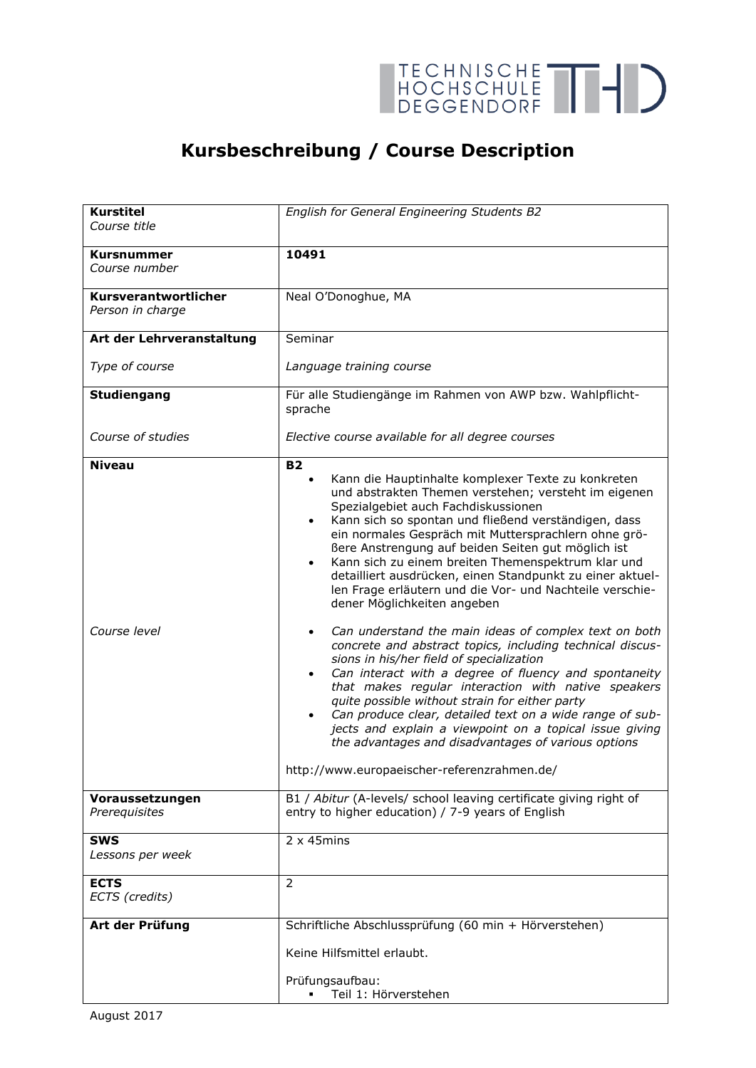

## **Kursbeschreibung / Course Description**

| <b>Kurstitel</b>                         | English for General Engineering Students B2                                                                                                                                                                                                                                                                                                                                                                                                                                                                                                                                                                                                                                                                                                                                                                                                                                                                                                                                                                                                                                                                                                   |
|------------------------------------------|-----------------------------------------------------------------------------------------------------------------------------------------------------------------------------------------------------------------------------------------------------------------------------------------------------------------------------------------------------------------------------------------------------------------------------------------------------------------------------------------------------------------------------------------------------------------------------------------------------------------------------------------------------------------------------------------------------------------------------------------------------------------------------------------------------------------------------------------------------------------------------------------------------------------------------------------------------------------------------------------------------------------------------------------------------------------------------------------------------------------------------------------------|
| Course title                             |                                                                                                                                                                                                                                                                                                                                                                                                                                                                                                                                                                                                                                                                                                                                                                                                                                                                                                                                                                                                                                                                                                                                               |
| <b>Kursnummer</b>                        | 10491                                                                                                                                                                                                                                                                                                                                                                                                                                                                                                                                                                                                                                                                                                                                                                                                                                                                                                                                                                                                                                                                                                                                         |
| Course number                            |                                                                                                                                                                                                                                                                                                                                                                                                                                                                                                                                                                                                                                                                                                                                                                                                                                                                                                                                                                                                                                                                                                                                               |
|                                          |                                                                                                                                                                                                                                                                                                                                                                                                                                                                                                                                                                                                                                                                                                                                                                                                                                                                                                                                                                                                                                                                                                                                               |
| Kursverantwortlicher<br>Person in charge | Neal O'Donoghue, MA                                                                                                                                                                                                                                                                                                                                                                                                                                                                                                                                                                                                                                                                                                                                                                                                                                                                                                                                                                                                                                                                                                                           |
|                                          |                                                                                                                                                                                                                                                                                                                                                                                                                                                                                                                                                                                                                                                                                                                                                                                                                                                                                                                                                                                                                                                                                                                                               |
| Art der Lehrveranstaltung                | Seminar                                                                                                                                                                                                                                                                                                                                                                                                                                                                                                                                                                                                                                                                                                                                                                                                                                                                                                                                                                                                                                                                                                                                       |
| Type of course                           | Language training course                                                                                                                                                                                                                                                                                                                                                                                                                                                                                                                                                                                                                                                                                                                                                                                                                                                                                                                                                                                                                                                                                                                      |
| <b>Studiengang</b>                       | Für alle Studiengänge im Rahmen von AWP bzw. Wahlpflicht-<br>sprache                                                                                                                                                                                                                                                                                                                                                                                                                                                                                                                                                                                                                                                                                                                                                                                                                                                                                                                                                                                                                                                                          |
| Course of studies                        | Elective course available for all degree courses                                                                                                                                                                                                                                                                                                                                                                                                                                                                                                                                                                                                                                                                                                                                                                                                                                                                                                                                                                                                                                                                                              |
| <b>Niveau</b>                            | <b>B2</b>                                                                                                                                                                                                                                                                                                                                                                                                                                                                                                                                                                                                                                                                                                                                                                                                                                                                                                                                                                                                                                                                                                                                     |
| Course level                             | Kann die Hauptinhalte komplexer Texte zu konkreten<br>$\bullet$<br>und abstrakten Themen verstehen; versteht im eigenen<br>Spezialgebiet auch Fachdiskussionen<br>Kann sich so spontan und fließend verständigen, dass<br>$\bullet$<br>ein normales Gespräch mit Muttersprachlern ohne grö-<br>Bere Anstrengung auf beiden Seiten gut möglich ist<br>Kann sich zu einem breiten Themenspektrum klar und<br>detailliert ausdrücken, einen Standpunkt zu einer aktuel-<br>len Frage erläutern und die Vor- und Nachteile verschie-<br>dener Möglichkeiten angeben<br>Can understand the main ideas of complex text on both<br>concrete and abstract topics, including technical discus-<br>sions in his/her field of specialization<br>Can interact with a degree of fluency and spontaneity<br>$\bullet$<br>that makes regular interaction with native speakers<br>quite possible without strain for either party<br>Can produce clear, detailed text on a wide range of sub-<br>jects and explain a viewpoint on a topical issue giving<br>the advantages and disadvantages of various options<br>http://www.europaeischer-referenzrahmen.de/ |
| Voraussetzungen<br>Prerequisites         | B1 / Abitur (A-levels/ school leaving certificate giving right of<br>entry to higher education) / 7-9 years of English                                                                                                                                                                                                                                                                                                                                                                                                                                                                                                                                                                                                                                                                                                                                                                                                                                                                                                                                                                                                                        |
|                                          |                                                                                                                                                                                                                                                                                                                                                                                                                                                                                                                                                                                                                                                                                                                                                                                                                                                                                                                                                                                                                                                                                                                                               |
| <b>SWS</b>                               | $2 \times 45$ mins                                                                                                                                                                                                                                                                                                                                                                                                                                                                                                                                                                                                                                                                                                                                                                                                                                                                                                                                                                                                                                                                                                                            |
| Lessons per week                         |                                                                                                                                                                                                                                                                                                                                                                                                                                                                                                                                                                                                                                                                                                                                                                                                                                                                                                                                                                                                                                                                                                                                               |
| <b>ECTS</b><br>ECTS (credits)            | 2                                                                                                                                                                                                                                                                                                                                                                                                                                                                                                                                                                                                                                                                                                                                                                                                                                                                                                                                                                                                                                                                                                                                             |
| Art der Prüfung                          | Schriftliche Abschlussprüfung (60 min + Hörverstehen)                                                                                                                                                                                                                                                                                                                                                                                                                                                                                                                                                                                                                                                                                                                                                                                                                                                                                                                                                                                                                                                                                         |
|                                          | Keine Hilfsmittel erlaubt.                                                                                                                                                                                                                                                                                                                                                                                                                                                                                                                                                                                                                                                                                                                                                                                                                                                                                                                                                                                                                                                                                                                    |
|                                          | Prüfungsaufbau:                                                                                                                                                                                                                                                                                                                                                                                                                                                                                                                                                                                                                                                                                                                                                                                                                                                                                                                                                                                                                                                                                                                               |
|                                          | Teil 1: Hörverstehen                                                                                                                                                                                                                                                                                                                                                                                                                                                                                                                                                                                                                                                                                                                                                                                                                                                                                                                                                                                                                                                                                                                          |
|                                          |                                                                                                                                                                                                                                                                                                                                                                                                                                                                                                                                                                                                                                                                                                                                                                                                                                                                                                                                                                                                                                                                                                                                               |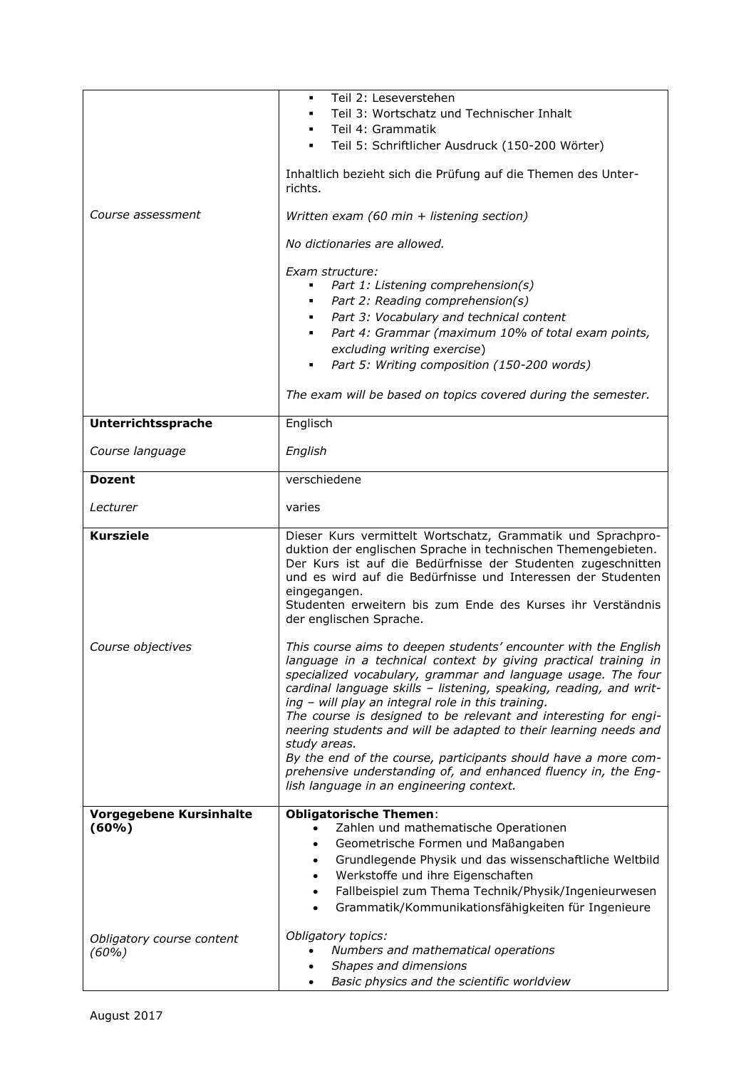|                           | Teil 2: Leseverstehen                                                                                                                                                                                                                                                                                                                                                                                                                                                                                                                                                                                                                                                 |
|---------------------------|-----------------------------------------------------------------------------------------------------------------------------------------------------------------------------------------------------------------------------------------------------------------------------------------------------------------------------------------------------------------------------------------------------------------------------------------------------------------------------------------------------------------------------------------------------------------------------------------------------------------------------------------------------------------------|
|                           | Teil 3: Wortschatz und Technischer Inhalt                                                                                                                                                                                                                                                                                                                                                                                                                                                                                                                                                                                                                             |
|                           | Teil 4: Grammatik                                                                                                                                                                                                                                                                                                                                                                                                                                                                                                                                                                                                                                                     |
|                           | Teil 5: Schriftlicher Ausdruck (150-200 Wörter)                                                                                                                                                                                                                                                                                                                                                                                                                                                                                                                                                                                                                       |
|                           | Inhaltlich bezieht sich die Prüfung auf die Themen des Unter-<br>richts.                                                                                                                                                                                                                                                                                                                                                                                                                                                                                                                                                                                              |
| Course assessment         | Written exam (60 min + listening section)                                                                                                                                                                                                                                                                                                                                                                                                                                                                                                                                                                                                                             |
|                           | No dictionaries are allowed.                                                                                                                                                                                                                                                                                                                                                                                                                                                                                                                                                                                                                                          |
|                           | Exam structure:                                                                                                                                                                                                                                                                                                                                                                                                                                                                                                                                                                                                                                                       |
|                           | Part 1: Listening comprehension(s)<br>٠                                                                                                                                                                                                                                                                                                                                                                                                                                                                                                                                                                                                                               |
|                           | Part 2: Reading comprehension(s)<br>٠                                                                                                                                                                                                                                                                                                                                                                                                                                                                                                                                                                                                                                 |
|                           | Part 3: Vocabulary and technical content<br>٠                                                                                                                                                                                                                                                                                                                                                                                                                                                                                                                                                                                                                         |
|                           | Part 4: Grammar (maximum 10% of total exam points,<br>٠                                                                                                                                                                                                                                                                                                                                                                                                                                                                                                                                                                                                               |
|                           | excluding writing exercise)<br>Part 5: Writing composition (150-200 words)<br>٠                                                                                                                                                                                                                                                                                                                                                                                                                                                                                                                                                                                       |
|                           |                                                                                                                                                                                                                                                                                                                                                                                                                                                                                                                                                                                                                                                                       |
|                           | The exam will be based on topics covered during the semester.                                                                                                                                                                                                                                                                                                                                                                                                                                                                                                                                                                                                         |
| Unterrichtssprache        | Englisch                                                                                                                                                                                                                                                                                                                                                                                                                                                                                                                                                                                                                                                              |
| Course language           | English                                                                                                                                                                                                                                                                                                                                                                                                                                                                                                                                                                                                                                                               |
| <b>Dozent</b>             | verschiedene                                                                                                                                                                                                                                                                                                                                                                                                                                                                                                                                                                                                                                                          |
| Lecturer                  | varies                                                                                                                                                                                                                                                                                                                                                                                                                                                                                                                                                                                                                                                                |
| <b>Kursziele</b>          | Dieser Kurs vermittelt Wortschatz, Grammatik und Sprachpro-<br>duktion der englischen Sprache in technischen Themengebieten.<br>Der Kurs ist auf die Bedürfnisse der Studenten zugeschnitten<br>und es wird auf die Bedürfnisse und Interessen der Studenten<br>eingegangen.<br>Studenten erweitern bis zum Ende des Kurses ihr Verständnis<br>der englischen Sprache.                                                                                                                                                                                                                                                                                                |
| Course objectives         | This course aims to deepen students' encounter with the English<br>language in a technical context by giving practical training in<br>specialized vocabulary, grammar and language usage. The four<br>cardinal language skills - listening, speaking, reading, and writ-<br>ing - will play an integral role in this training.<br>The course is designed to be relevant and interesting for engi-<br>neering students and will be adapted to their learning needs and<br>study areas.<br>By the end of the course, participants should have a more com-<br>prehensive understanding of, and enhanced fluency in, the Eng-<br>lish language in an engineering context. |
| Vorgegebene Kursinhalte   | <b>Obligatorische Themen:</b>                                                                                                                                                                                                                                                                                                                                                                                                                                                                                                                                                                                                                                         |
| (60%)                     | Zahlen und mathematische Operationen                                                                                                                                                                                                                                                                                                                                                                                                                                                                                                                                                                                                                                  |
|                           | Geometrische Formen und Maßangaben<br>Grundlegende Physik und das wissenschaftliche Weltbild                                                                                                                                                                                                                                                                                                                                                                                                                                                                                                                                                                          |
|                           | Werkstoffe und ihre Eigenschaften<br>$\bullet$                                                                                                                                                                                                                                                                                                                                                                                                                                                                                                                                                                                                                        |
|                           | Fallbeispiel zum Thema Technik/Physik/Ingenieurwesen                                                                                                                                                                                                                                                                                                                                                                                                                                                                                                                                                                                                                  |
|                           | Grammatik/Kommunikationsfähigkeiten für Ingenieure                                                                                                                                                                                                                                                                                                                                                                                                                                                                                                                                                                                                                    |
| Obligatory course content |                                                                                                                                                                                                                                                                                                                                                                                                                                                                                                                                                                                                                                                                       |
|                           | Obligatory topics:                                                                                                                                                                                                                                                                                                                                                                                                                                                                                                                                                                                                                                                    |
| (60%)                     | Numbers and mathematical operations                                                                                                                                                                                                                                                                                                                                                                                                                                                                                                                                                                                                                                   |
|                           | Shapes and dimensions<br>Basic physics and the scientific worldview                                                                                                                                                                                                                                                                                                                                                                                                                                                                                                                                                                                                   |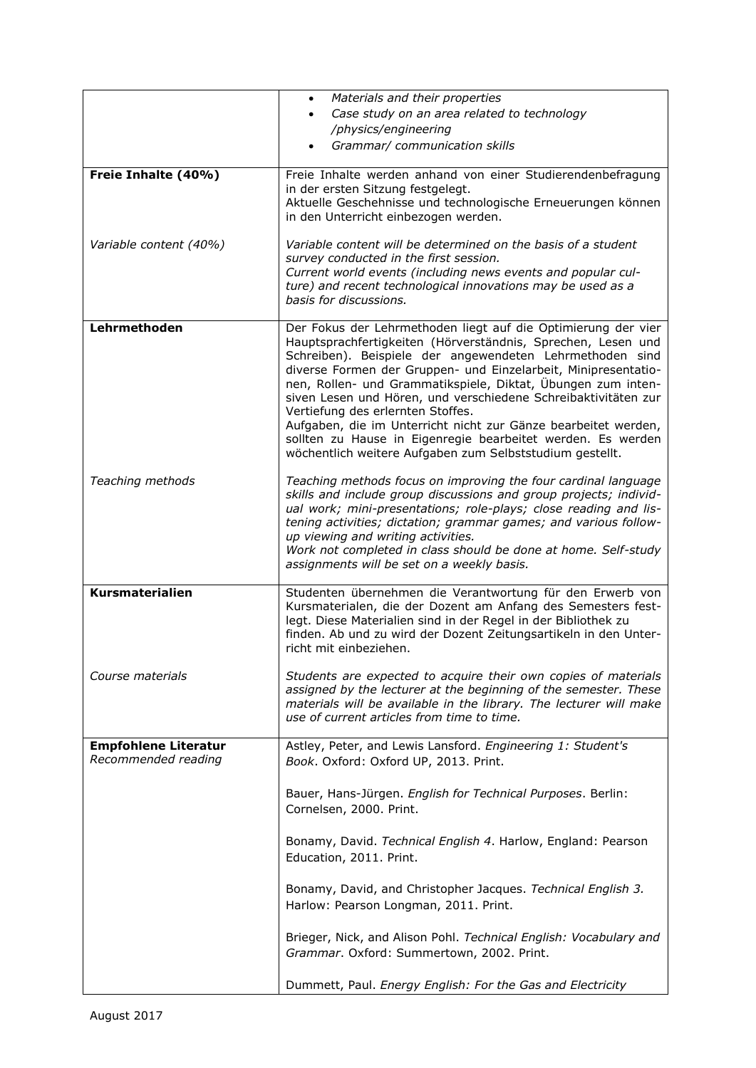|                             | Materials and their properties                                                                                                       |
|-----------------------------|--------------------------------------------------------------------------------------------------------------------------------------|
|                             | Case study on an area related to technology                                                                                          |
|                             | /physics/engineering                                                                                                                 |
|                             | Grammar/ communication skills                                                                                                        |
| Freie Inhalte (40%)         | Freie Inhalte werden anhand von einer Studierendenbefragung                                                                          |
|                             | in der ersten Sitzung festgelegt.                                                                                                    |
|                             | Aktuelle Geschehnisse und technologische Erneuerungen können                                                                         |
|                             | in den Unterricht einbezogen werden.                                                                                                 |
| Variable content (40%)      | Variable content will be determined on the basis of a student                                                                        |
|                             | survey conducted in the first session.                                                                                               |
|                             | Current world events (including news events and popular cul-<br>ture) and recent technological innovations may be used as a          |
|                             | basis for discussions.                                                                                                               |
|                             |                                                                                                                                      |
| Lehrmethoden                | Der Fokus der Lehrmethoden liegt auf die Optimierung der vier<br>Hauptsprachfertigkeiten (Hörverständnis, Sprechen, Lesen und        |
|                             | Schreiben). Beispiele der angewendeten Lehrmethoden sind                                                                             |
|                             | diverse Formen der Gruppen- und Einzelarbeit, Minipresentatio-                                                                       |
|                             | nen, Rollen- und Grammatikspiele, Diktat, Übungen zum inten-<br>siven Lesen und Hören, und verschiedene Schreibaktivitäten zur       |
|                             | Vertiefung des erlernten Stoffes.                                                                                                    |
|                             | Aufgaben, die im Unterricht nicht zur Gänze bearbeitet werden,                                                                       |
|                             | sollten zu Hause in Eigenregie bearbeitet werden. Es werden<br>wöchentlich weitere Aufgaben zum Selbststudium gestellt.              |
|                             |                                                                                                                                      |
| Teaching methods            | Teaching methods focus on improving the four cardinal language                                                                       |
|                             | skills and include group discussions and group projects; individ-                                                                    |
|                             | ual work; mini-presentations; role-plays; close reading and lis-<br>tening activities; dictation; grammar games; and various follow- |
|                             | up viewing and writing activities.                                                                                                   |
|                             | Work not completed in class should be done at home. Self-study                                                                       |
|                             | assignments will be set on a weekly basis.                                                                                           |
| <b>Kursmaterialien</b>      | Studenten übernehmen die Verantwortung für den Erwerb von                                                                            |
|                             | Kursmaterialen, die der Dozent am Anfang des Semesters fest-                                                                         |
|                             | legt. Diese Materialien sind in der Regel in der Bibliothek zu<br>finden. Ab und zu wird der Dozent Zeitungsartikeln in den Unter-   |
|                             | richt mit einbeziehen.                                                                                                               |
|                             |                                                                                                                                      |
| Course materials            | Students are expected to acquire their own copies of materials<br>assigned by the lecturer at the beginning of the semester. These   |
|                             | materials will be available in the library. The lecturer will make                                                                   |
|                             | use of current articles from time to time.                                                                                           |
| <b>Empfohlene Literatur</b> | Astley, Peter, and Lewis Lansford. Engineering 1: Student's                                                                          |
| Recommended reading         | Book. Oxford: Oxford UP, 2013. Print.                                                                                                |
|                             |                                                                                                                                      |
|                             | Bauer, Hans-Jürgen. English for Technical Purposes. Berlin:                                                                          |
|                             | Cornelsen, 2000. Print.                                                                                                              |
|                             |                                                                                                                                      |
|                             | Bonamy, David. Technical English 4. Harlow, England: Pearson<br>Education, 2011. Print.                                              |
|                             |                                                                                                                                      |
|                             | Bonamy, David, and Christopher Jacques. Technical English 3.                                                                         |
|                             | Harlow: Pearson Longman, 2011. Print.                                                                                                |
|                             |                                                                                                                                      |
|                             | Brieger, Nick, and Alison Pohl. Technical English: Vocabulary and                                                                    |
|                             | Grammar. Oxford: Summertown, 2002. Print.                                                                                            |
|                             | Dummett, Paul. Energy English: For the Gas and Electricity                                                                           |